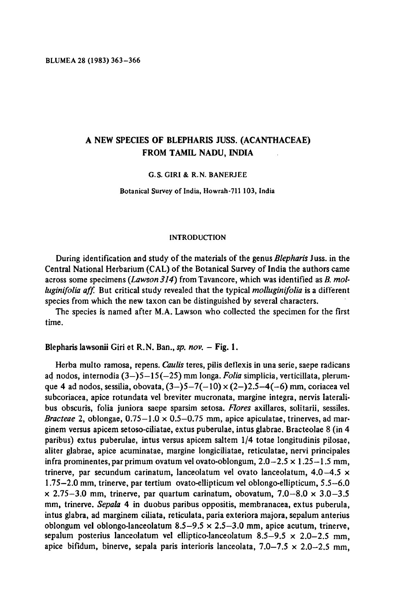# <sup>A</sup> new species of Blepharis Juss. (Acanthaceae) from Tamil Nadu, India

#### G.S. Giri & R.N. Banerjee

Botanical Survey of India, Howrah-711 103, India

#### INTRODUCTION

During identification and study of the materials of the genus *Blepharis* Juss. in the Central National Herbarium(CAL) of the Botanical Survey of India the authors came across some specimens (Lawson 314) from Tavancore, which was identified as  $B$ . molluginifolia aff. But critical study revealed that the typical molluginifolia is a different species from which the new taxon can be distinguished by several characters.

The species is named after M.A. Lawson who collected the specimen for the first time.

Blepharis lawsonii Giri et R.N. Ban., sp. nov. – Fig. 1.

Herba multo ramosa, repens. Caulis teres, pilis deflexis in una serie, saepe radicans ad nodos, internodia  $(3-5-15(-25)$  mm longa. Folia simplicia, verticillata, plerumque 4 ad nodos, sessilia, obovata,  $(3-5-7(-10) \times (2-2.5-4(-6) )$  mm, coriacea vel subcoriacea, apice rotundata vel breviter mucronata, margine integra, nervis lateralibus obscuris, folia juniora saepe sparsim setosa. Flores axillares, solitarii, sessiles. Bracteae 2, oblongae,  $0.75-1.0 \times 0.5-0.75$  mm, apice apiculatae, trinerves, ad marginem versus apicem setoso-ciliatae, extus puberulae, intus glabrae. Bracteolae <sup>8</sup> (in 4 paribus) extus puberulae, intus versus apicem saltern 1/4 totae longitudinis pilosae, aliter glabrae, apice acuminatae, margine longiciliatae, reticulatae, nervi principales infra prominentes, par primum ovatum vel ovato-oblongum,  $2.0-2.5 \times 1.25-1.5$  mm, trinerve, par secundum carinatum, lanceolatum vel ovato lanceolatum,  $4.0-4.5 \times$ 1.75—2.0 mm, trinerve, par tertium ovato-ellipticum vel oblongo-ellipticum, 5.5—6.0  $\times$  2.75–3.0 mm, trinerve, par quartum carinatum, obovatum, 7.0–8.0  $\times$  3.0–3.5 mm, trinerve. Sepala 4 in duobus paribus oppositis, membranacea, extus puberula, intus glabra, ad marginem ciliata, reticulata, paria exteriora majora, sepalum anterius oblongum vel oblongo-lanceolatum  $8.5-9.5 \times 2.5-3.0$  mm, apice acutum, trinerve, sepalum posterius lanceolatum vel elliptico-lanceolatum 8.5-9.5  $\times$  2.0-2.5 mm, apice bifidum, binerve, sepala paris interioris lanceolata,  $7.0-7.5 \times 2.0-2.5$  mm,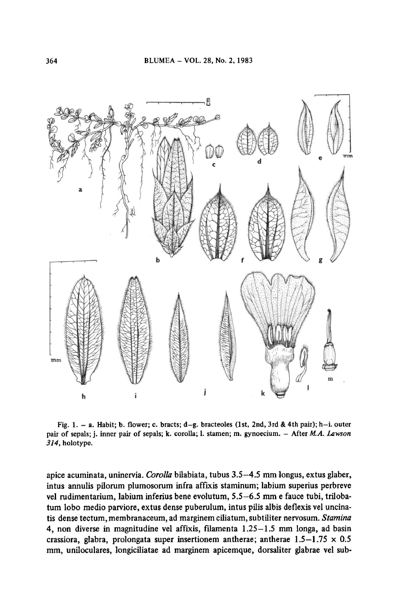

Fig. 1. — a. Habit; b. flower; c. bracts; d—g. bracteoles (1st, 2nd, 3rd & 4th pair); h—i. outer pair of sepals; j. inner pair of sepals; k. corolla; l. stamen; m. gynoecium. - After M.A. Lawson 314, holotype.

apice acuminata, uninervia. Corolla bilabiata, tubus 3.5—4.5 mm longus, extus glaber, intus annulis pilorum plumosomm infra afflxis staminum; labium superius perbreve vel rudimentarium, labium inferius bene evolutum, 5.5-6.5 mm e fauce tubi, trilobatum lobo medio parviore, extus dense puberulum, intus pilis albis deflexis vel uncinatis dense tectum, membranaceum, ad marginem ciliatum, subtiliter nervosum. Stamina 4, non diverse in magnitudine vel affixis, filamenta 1.25—1.5 mm longa, ad basin crassiora, glabra, prolongata super insertionem antherae; antherae  $1.5-1.75 \times 0.5$ mm, uniloculares, longiciliatae ad marginem apicemque, dorsaliter glabrae vel sub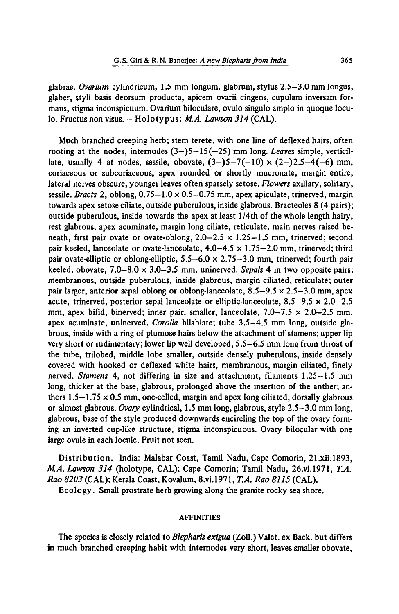glabrae. Ovarium cylindricum, 1.5 mm longum, glabrum, stylus 2.5—3.0 mm longus, glaber, styli basis deorsum producta, apicem ovarii cingens, cupulam inversam formans, stigma inconspicuum. Ovarium biloculare, ovulo singulo amplo in quoque loculo. Fructus non visus. -- Holotypus: M.A. Lawson 314 (CAL).

Much branched creeping herb; stem terete, with one line of deflexed hairs, often rooting at the nodes, internodes  $(3-)5-15(-25)$  mm long. Leaves simple, verticillate, usually 4 at nodes, sessile, obovate,  $(3-5-7(-10) \times (2-)2.5-4(-6)$  mm, coriaceous or subcoriaceous, apex rounded or shortly mucronate, margin entire, lateral nerves obscure, younger leaves often sparsely setose. Flowers axillary, solitary, sessile. Bracts 2, oblong,  $0.75-1.0 \times 0.5-0.75$  mm, apex apiculate, trinerved, margin towards apex setose ciliate, outside puberulous, inside glabrous. Bracteoles <sup>8</sup> (4 pairs); outside puberulous, inside towards the apex at least <sup>1</sup> /4th of the whole length hairy, rest glabrous, apex acuminate, margin long ciliate, reticulate, main nerves raised beneath, first pair ovate or ovate-oblong,  $2.0-2.5 \times 1.25-1.5$  mm, trinerved; second pair keeled, lanceolate or ovate-lanceolate,  $4.0-4.5 \times 1.75-2.0$  mm, trinerved; third pair ovate-elliptic or oblong-elliptic,  $5.5-6.0 \times 2.75-3.0$  mm, trinerved; fourth pair keeled, obovate,  $7.0-8.0 \times 3.0-3.5$  mm, uninerved. Sepals 4 in two opposite pairs; membranous, outside puberulous, inside glabrous, margin ciliated, reticulate; outer pair larger, anterior sepal oblong or oblong-lanceolate,  $8.5-9.5 \times 2.5-3.0$  mm, apex acute, trinerved, posterior sepal lanceolate or elliptic-lanceolate,  $8.5-9.5 \times 2.0-2.5$ mm, apex bifid, binerved; inner pair, smaller, lanceolate,  $7.0-7.5 \times 2.0-2.5$  mm, apex acuminate, uninerved. Corolla bilabiate; tube 3.5-4.5 mm long, outside glabrous, inside with <sup>a</sup> ring of plumose hairs below the attachment of stamens; upper lip very short or rudimentary; lower lip well developed, 5.5—6.5 mm long from throatof the tube, trilobed, middle lobe smaller, outside densely puberulous, inside densely covered with hooked or deflexed white hairs, membranous, margin ciliated, finely nerved. Stamens 4, not differing in size and attachment, filaments 1.25—1.5 mm long, thicker at the base, glabrous, prolonged above the insertion of the anther; anthers  $1.5-1.75 \times 0.5$  mm, one-celled, margin and apex long ciliated, dorsally glabrous or almost glabrous. Ovary cylindrical, 1.5 mm long, glabrous, style 2.5—3.0 mm long, glabrous, base of the style produced downwards encircling the top of the ovary forming an inverted cup-like structure, stigma inconspicuous. Ovary bilocular with one large ovule in each locule. Fruit not seen.

Distribution. India: Malabar Coast, Tamil Nadu, Cape Comorin, 21.xii.1893, M.A. Lawson 314 (holotype, CAL); Cape Comorin; Tamil Nadu, 26.vi.1971, T.A. Rao 8203 (CAL); Kerala Coast, Kovalum, 8.vi. 1971, T.A. Rao 8115 (CAL).

Ecology. Small prostrate herb growing along the granite rocky sea shore.

### AFFINITIES

The species is closely related to Blepharis exigua (Zoll.) Valet. ex Back. but differs in much branched creeping habit with internodes very short, leaves smaller obovate,